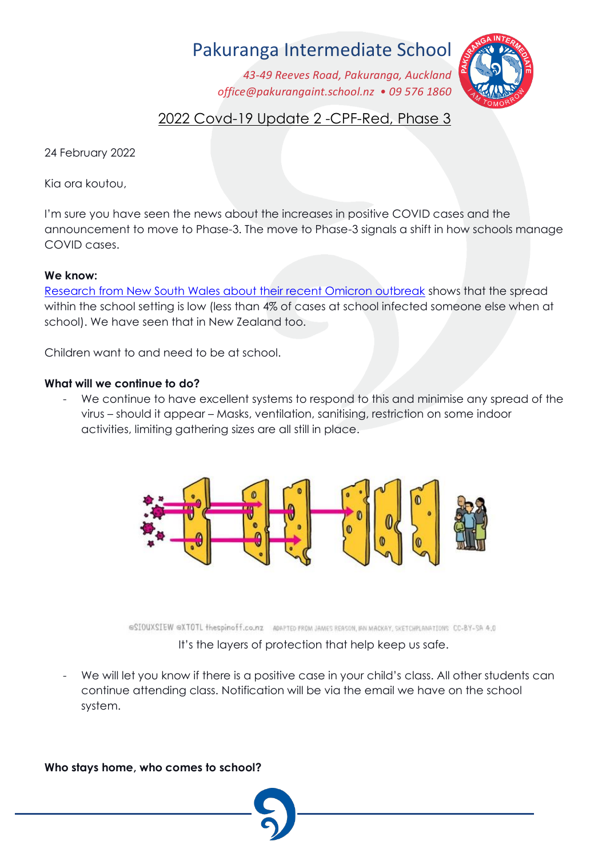# Pakuranga Intermediate School

*43-49 Reeves Road, Pakuranga, Auckland office@pakurangaint.school.nz* • 09 576 1860



# 2022 Covd-19 Update 2 -CPF-Red, Phase 3

24 February 2022

Kia ora koutou,

I'm sure you have seen the news about the increases in positive COVID cases and the announcement to move to Phase-3. The move to Phase-3 signals a shift in how schools manage COVID cases.

## **We know:**

[Research from New South Wales about their recent Omicron outbreak](https://www.ncirs.org.au/sites/default/files/2022-02/NCIRS_NSW_Schools_COVID_Summary_Term_4_2021_Report%20-%2018-02-2022_FINAL_1.pdf) shows that the spread within the school setting is low (less than 4% of cases at school infected someone else when at school). We have seen that in New Zealand too.

Children want to and need to be at school.

### **What will we continue to do?**

We continue to have excellent systems to respond to this and minimise any spread of the virus - should it appear - Masks, ventilation, sanitising, restriction on some indoor activities, limiting gathering sizes are all still in place.



@SIOUXSIEW @XTOTL thespinoff.co.nz ADAPTED FROM JAMES REASON, IAN MACKAY, SKETCHPLANATIONS CC-BY-SA 4.0 It's the layers of protection that help keep us safe.

We will let you know if there is a positive case in your child's class. All other students can continue attending class. Notification will be via the email we have on the school system.

**Who stays home, who comes to school?**